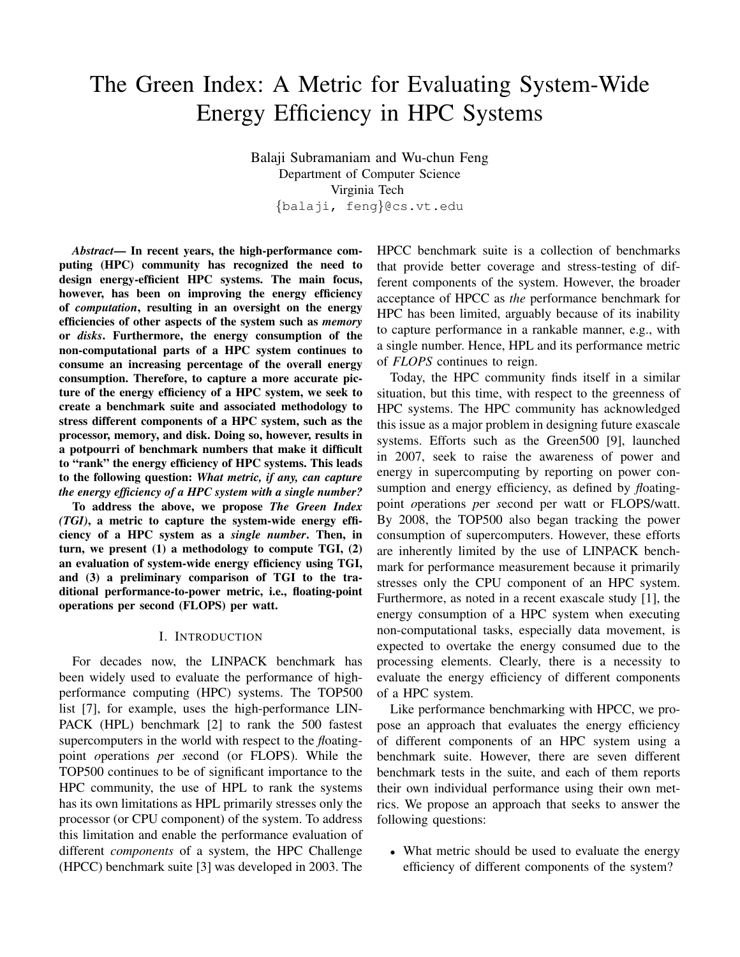# The Green Index: A Metric for Evaluating System-Wide Energy Efficiency in HPC Systems

Balaji Subramaniam and Wu-chun Feng Department of Computer Science Virginia Tech {balaji, feng}@cs.vt.edu

*Abstract*— In recent years, the high-performance computing (HPC) community has recognized the need to design energy-efficient HPC systems. The main focus, however, has been on improving the energy efficiency of *computation*, resulting in an oversight on the energy efficiencies of other aspects of the system such as *memory* or *disks*. Furthermore, the energy consumption of the non-computational parts of a HPC system continues to consume an increasing percentage of the overall energy consumption. Therefore, to capture a more accurate picture of the energy efficiency of a HPC system, we seek to create a benchmark suite and associated methodology to stress different components of a HPC system, such as the processor, memory, and disk. Doing so, however, results in a potpourri of benchmark numbers that make it difficult to "rank" the energy efficiency of HPC systems. This leads to the following question: *What metric, if any, can capture the energy efficiency of a HPC system with a single number?*

To address the above, we propose *The Green Index (TGI)*, a metric to capture the system-wide energy efficiency of a HPC system as a *single number*. Then, in turn, we present  $(1)$  a methodology to compute TGI,  $(2)$ an evaluation of system-wide energy efficiency using TGI, and (3) a preliminary comparison of TGI to the traditional performance-to-power metric, i.e., floating-point operations per second (FLOPS) per watt.

# I. INTRODUCTION

For decades now, the LINPACK benchmark has been widely used to evaluate the performance of highperformance computing (HPC) systems. The TOP500 list [7], for example, uses the high-performance LIN-PACK (HPL) benchmark [2] to rank the 500 fastest supercomputers in the world with respect to the *fl*oatingpoint *o*perations *p*er *s*econd (or FLOPS). While the TOP500 continues to be of significant importance to the HPC community, the use of HPL to rank the systems has its own limitations as HPL primarily stresses only the processor (or CPU component) of the system. To address this limitation and enable the performance evaluation of different *components* of a system, the HPC Challenge (HPCC) benchmark suite [3] was developed in 2003. The

HPCC benchmark suite is a collection of benchmarks that provide better coverage and stress-testing of different components of the system. However, the broader acceptance of HPCC as *the* performance benchmark for HPC has been limited, arguably because of its inability to capture performance in a rankable manner, e.g., with a single number. Hence, HPL and its performance metric of *FLOPS* continues to reign.

Today, the HPC community finds itself in a similar situation, but this time, with respect to the greenness of HPC systems. The HPC community has acknowledged this issue as a major problem in designing future exascale systems. Efforts such as the Green500 [9], launched in 2007, seek to raise the awareness of power and energy in supercomputing by reporting on power consumption and energy efficiency, as defined by *fl*oatingpoint *o*perations *p*er *s*econd per watt or FLOPS/watt. By 2008, the TOP500 also began tracking the power consumption of supercomputers. However, these efforts are inherently limited by the use of LINPACK benchmark for performance measurement because it primarily stresses only the CPU component of an HPC system. Furthermore, as noted in a recent exascale study [1], the energy consumption of a HPC system when executing non-computational tasks, especially data movement, is expected to overtake the energy consumed due to the processing elements. Clearly, there is a necessity to evaluate the energy efficiency of different components of a HPC system.

Like performance benchmarking with HPCC, we propose an approach that evaluates the energy efficiency of different components of an HPC system using a benchmark suite. However, there are seven different benchmark tests in the suite, and each of them reports their own individual performance using their own metrics. We propose an approach that seeks to answer the following questions:

• What metric should be used to evaluate the energy efficiency of different components of the system?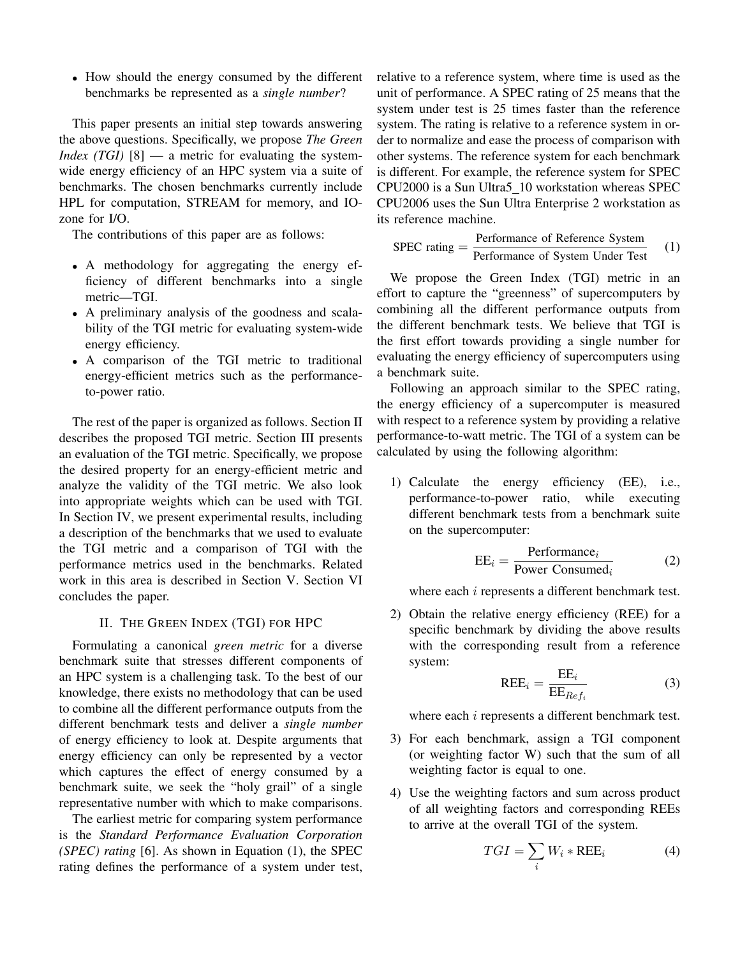• How should the energy consumed by the different benchmarks be represented as a *single number*?

This paper presents an initial step towards answering the above questions. Specifically, we propose *The Green Index (TGI)*  $[8]$  — a metric for evaluating the systemwide energy efficiency of an HPC system via a suite of benchmarks. The chosen benchmarks currently include HPL for computation, STREAM for memory, and IOzone for I/O.

The contributions of this paper are as follows:

- A methodology for aggregating the energy efficiency of different benchmarks into a single metric—TGI.
- A preliminary analysis of the goodness and scalability of the TGI metric for evaluating system-wide energy efficiency.
- A comparison of the TGI metric to traditional energy-efficient metrics such as the performanceto-power ratio.

The rest of the paper is organized as follows. Section II describes the proposed TGI metric. Section III presents an evaluation of the TGI metric. Specifically, we propose the desired property for an energy-efficient metric and analyze the validity of the TGI metric. We also look into appropriate weights which can be used with TGI. In Section IV, we present experimental results, including a description of the benchmarks that we used to evaluate the TGI metric and a comparison of TGI with the performance metrics used in the benchmarks. Related work in this area is described in Section V. Section VI concludes the paper.

# II. THE GREEN INDEX (TGI) FOR HPC

Formulating a canonical *green metric* for a diverse benchmark suite that stresses different components of an HPC system is a challenging task. To the best of our knowledge, there exists no methodology that can be used to combine all the different performance outputs from the different benchmark tests and deliver a *single number* of energy efficiency to look at. Despite arguments that energy efficiency can only be represented by a vector which captures the effect of energy consumed by a benchmark suite, we seek the "holy grail" of a single representative number with which to make comparisons.

The earliest metric for comparing system performance is the *Standard Performance Evaluation Corporation (SPEC) rating* [6]. As shown in Equation (1), the SPEC rating defines the performance of a system under test, relative to a reference system, where time is used as the unit of performance. A SPEC rating of 25 means that the system under test is 25 times faster than the reference system. The rating is relative to a reference system in order to normalize and ease the process of comparison with other systems. The reference system for each benchmark is different. For example, the reference system for SPEC CPU2000 is a Sun Ultra5 10 workstation whereas SPEC CPU2006 uses the Sun Ultra Enterprise 2 workstation as its reference machine.

$$
SPEC rating = \frac{Performance of Reference System}{Performance of System Under Test} \qquad (1)
$$

We propose the Green Index (TGI) metric in an effort to capture the "greenness" of supercomputers by combining all the different performance outputs from the different benchmark tests. We believe that TGI is the first effort towards providing a single number for evaluating the energy efficiency of supercomputers using a benchmark suite.

Following an approach similar to the SPEC rating, the energy efficiency of a supercomputer is measured with respect to a reference system by providing a relative performance-to-watt metric. The TGI of a system can be calculated by using the following algorithm:

1) Calculate the energy efficiency (EE), i.e., performance-to-power ratio, while executing different benchmark tests from a benchmark suite on the supercomputer:

$$
EE_i = \frac{\text{Performance}_i}{\text{Power Consumed}_i}
$$
 (2)

where each i represents a different benchmark test.

2) Obtain the relative energy efficiency (REE) for a specific benchmark by dividing the above results with the corresponding result from a reference system:

$$
REE_i = \frac{EE_i}{EE_{Ref_i}} \tag{3}
$$

where each *i* represents a different benchmark test.

- 3) For each benchmark, assign a TGI component (or weighting factor W) such that the sum of all weighting factor is equal to one.
- 4) Use the weighting factors and sum across product of all weighting factors and corresponding REEs to arrive at the overall TGI of the system.

$$
TGI = \sum_{i} W_i * \text{REE}_i \tag{4}
$$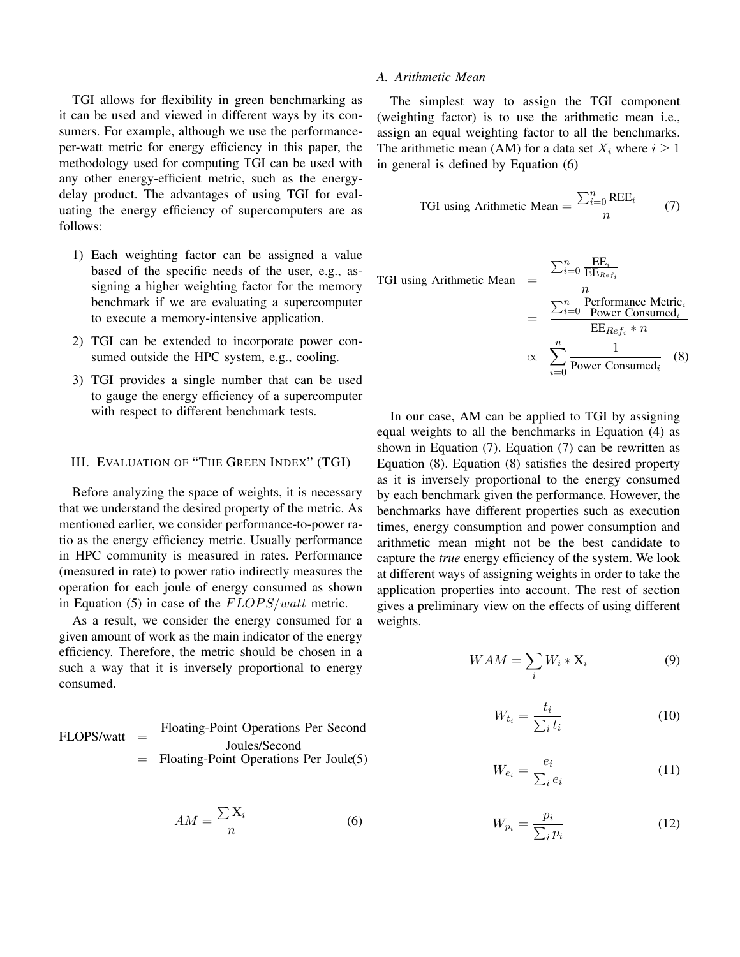TGI allows for flexibility in green benchmarking as it can be used and viewed in different ways by its consumers. For example, although we use the performanceper-watt metric for energy efficiency in this paper, the methodology used for computing TGI can be used with any other energy-efficient metric, such as the energydelay product. The advantages of using TGI for evaluating the energy efficiency of supercomputers are as follows:

- 1) Each weighting factor can be assigned a value based of the specific needs of the user, e.g., assigning a higher weighting factor for the memory benchmark if we are evaluating a supercomputer to execute a memory-intensive application.
- 2) TGI can be extended to incorporate power consumed outside the HPC system, e.g., cooling.
- 3) TGI provides a single number that can be used to gauge the energy efficiency of a supercomputer with respect to different benchmark tests.

#### III. EVALUATION OF "THE GREEN INDEX" (TGI)

Before analyzing the space of weights, it is necessary that we understand the desired property of the metric. As mentioned earlier, we consider performance-to-power ratio as the energy efficiency metric. Usually performance in HPC community is measured in rates. Performance (measured in rate) to power ratio indirectly measures the operation for each joule of energy consumed as shown in Equation (5) in case of the  $FLOPS/watt$  metric.

As a result, we consider the energy consumed for a given amount of work as the main indicator of the energy efficiency. Therefore, the metric should be chosen in a such a way that it is inversely proportional to energy consumed.

$$
FLOPS/watt = \frac{Floating-Point Operations Per SecondJoules/Second= Floating-Point Operations Per Joule(5)
$$

$$
AM = \frac{\sum X_i}{n} \tag{6}
$$

#### *A. Arithmetic Mean*

The simplest way to assign the TGI component (weighting factor) is to use the arithmetic mean i.e., assign an equal weighting factor to all the benchmarks. The arithmetic mean (AM) for a data set  $X_i$  where  $i \geq 1$ in general is defined by Equation (6)

TGI using Arithmetic Mean = 
$$
\frac{\sum_{i=0}^{n} \text{REE}_{i}}{n}
$$
 (7)

TGI using Arithmetic Mean

$$
= \frac{\sum_{i=0}^{n} \frac{\text{EE}_{i}}{\text{EE}_{Ref_{i}}}}{n}
$$

$$
= \frac{\sum_{i=0}^{n} \frac{\text{Performance Metric}_{i}}{\text{Power Consumed}_{i}}}{\text{EE}_{Ref_{i}} * n}
$$

$$
\propto \sum_{i=0}^{n} \frac{1}{\text{Power Consumed}_{i}} \quad (8)
$$

EE<sup>i</sup>

In our case, AM can be applied to TGI by assigning equal weights to all the benchmarks in Equation (4) as shown in Equation (7). Equation (7) can be rewritten as Equation (8). Equation (8) satisfies the desired property as it is inversely proportional to the energy consumed by each benchmark given the performance. However, the benchmarks have different properties such as execution times, energy consumption and power consumption and arithmetic mean might not be the best candidate to capture the *true* energy efficiency of the system. We look at different ways of assigning weights in order to take the application properties into account. The rest of section gives a preliminary view on the effects of using different weights.

$$
WAM = \sum_{i} W_i * \mathbf{X}_i \tag{9}
$$

$$
W_{t_i} = \frac{t_i}{\sum_i t_i} \tag{10}
$$

$$
W_{e_i} = \frac{e_i}{\sum_i e_i} \tag{11}
$$

$$
W_{p_i} = \frac{p_i}{\sum_i p_i} \tag{12}
$$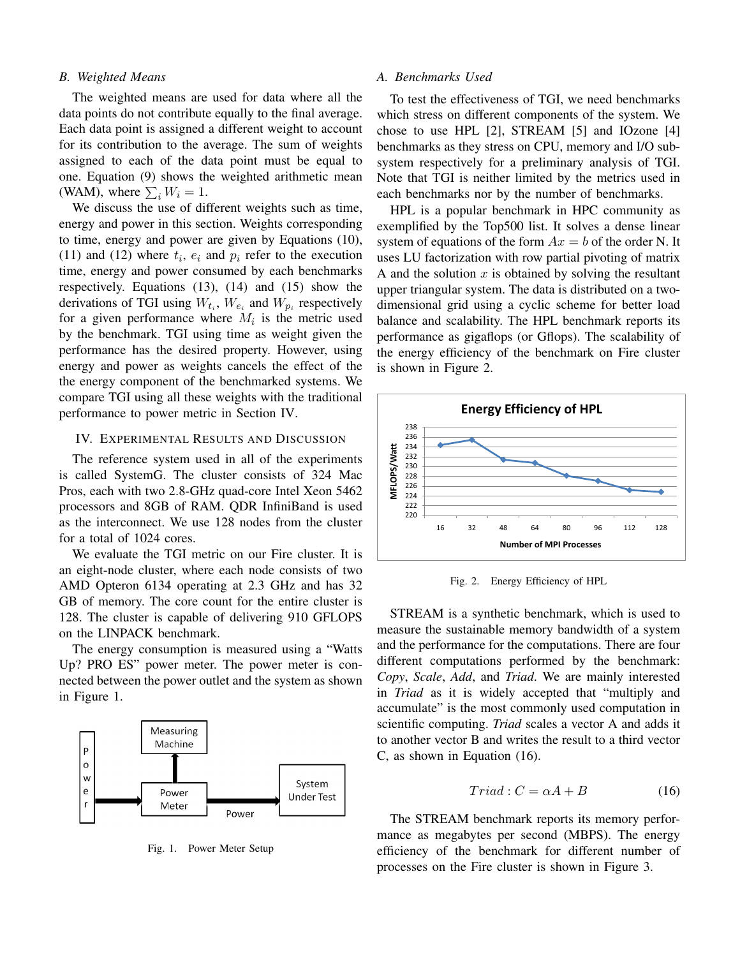# *B. Weighted Means*

The weighted means are used for data where all the data points do not contribute equally to the final average. Each data point is assigned a different weight to account for its contribution to the average. The sum of weights assigned to each of the data point must be equal to one. Equation (9) shows the weighted arithmetic mean (WAM), where  $\sum_i W_i = 1$ .

We discuss the use of different weights such as time, energy and power in this section. Weights corresponding to time, energy and power are given by Equations (10), (11) and (12) where  $t_i$ ,  $e_i$  and  $p_i$  refer to the execution time, energy and power consumed by each benchmarks respectively. Equations (13), (14) and (15) show the derivations of TGI using  $W_{t_i}$ ,  $W_{e_i}$  and  $W_{p_i}$  respectively for a given performance where  $M_i$  is the metric used by the benchmark. TGI using time as weight given the performance has the desired property. However, using energy and power as weights cancels the effect of the the energy component of the benchmarked systems. We compare TGI using all these weights with the traditional performance to power metric in Section IV.

# IV. EXPERIMENTAL RESULTS AND DISCUSSION

The reference system used in all of the experiments is called SystemG. The cluster consists of 324 Mac Pros, each with two 2.8-GHz quad-core Intel Xeon 5462 processors and 8GB of RAM. QDR InfiniBand is used as the interconnect. We use 128 nodes from the cluster for a total of 1024 cores.

We evaluate the TGI metric on our Fire cluster. It is an eight-node cluster, where each node consists of two AMD Opteron 6134 operating at 2.3 GHz and has 32 GB of memory. The core count for the entire cluster is 128. The cluster is capable of delivering 910 GFLOPS on the LINPACK benchmark.

The energy consumption is measured using a "Watts Up? PRO ES" power meter. The power meter is connected between the power outlet and the system as shown in Figure 1.



Fig. 1. Power Meter Setup

#### *A. Benchmarks Used*

To test the effectiveness of TGI, we need benchmarks which stress on different components of the system. We chose to use HPL [2], STREAM [5] and IOzone [4] benchmarks as they stress on CPU, memory and I/O subsystem respectively for a preliminary analysis of TGI. Note that TGI is neither limited by the metrics used in each benchmarks nor by the number of benchmarks.

HPL is a popular benchmark in HPC community as exemplified by the Top500 list. It solves a dense linear system of equations of the form  $Ax = b$  of the order N. It uses LU factorization with row partial pivoting of matrix A and the solution  $x$  is obtained by solving the resultant upper triangular system. The data is distributed on a twodimensional grid using a cyclic scheme for better load balance and scalability. The HPL benchmark reports its performance as gigaflops (or Gflops). The scalability of the energy efficiency of the benchmark on Fire cluster is shown in Figure 2.



Fig. 2. Energy Efficiency of HPL

STREAM is a synthetic benchmark, which is used to measure the sustainable memory bandwidth of a system and the performance for the computations. There are four different computations performed by the benchmark: *Copy*, *Scale*, *Add*, and *Triad*. We are mainly interested in *Triad* as it is widely accepted that "multiply and accumulate" is the most commonly used computation in scientific computing. *Triad* scales a vector A and adds it to another vector B and writes the result to a third vector C, as shown in Equation (16).

$$
Triad: C = \alpha A + B \tag{16}
$$

The STREAM benchmark reports its memory performance as megabytes per second (MBPS). The energy efficiency of the benchmark for different number of processes on the Fire cluster is shown in Figure 3.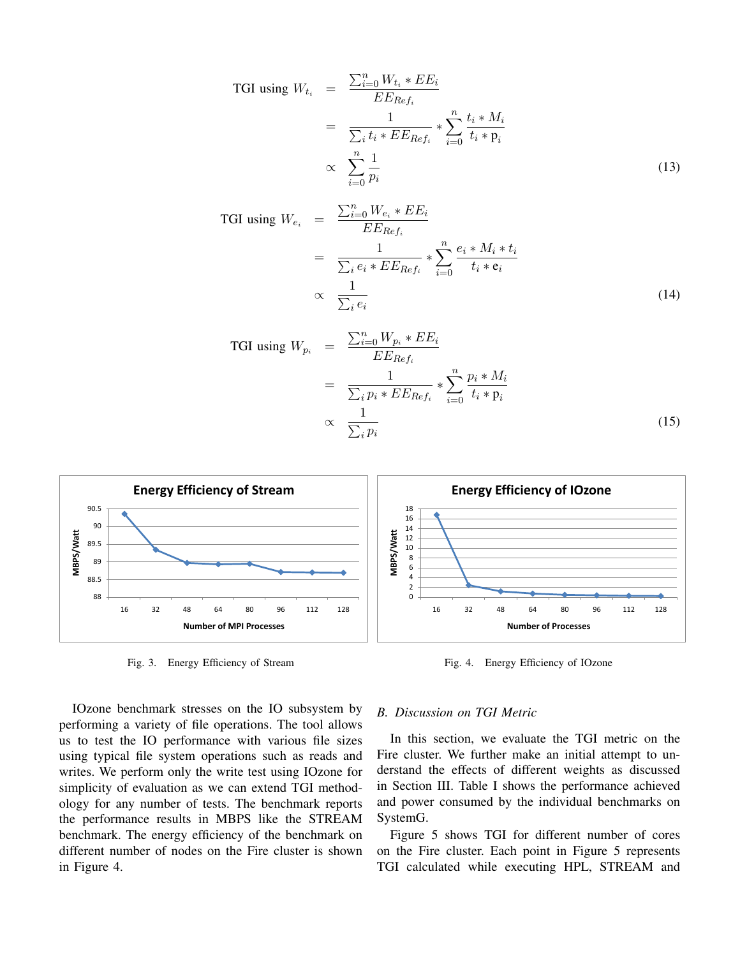$$
\text{TGI using } W_{t_i} = \frac{\sum_{i=0}^{n} W_{t_i} * EE_i}{EE_{Ref_i}} \\
= \frac{1}{\sum_{i} t_i * EE_{Ref_i}} * \sum_{i=0}^{n} \frac{t_i * M_i}{t_i * p_i} \\
\propto \sum_{i=0}^{n} \frac{1}{p_i}
$$
\n(13)

$$
\begin{aligned}\n\text{TGI using } W_{e_i} &= \frac{\sum_{i=0}^n W_{e_i} * EE_i}{EE_{Ref_i}} \\
&= \frac{1}{\sum_i e_i * EE_{Ref_i}} * \sum_{i=0}^n \frac{e_i * M_i * t_i}{t_i * e_i} \\
&\propto \frac{1}{\sum_i e_i}\n\end{aligned} \tag{14}
$$

$$
\begin{aligned}\n\text{TGI using } W_{p_i} &= \frac{\sum_{i=0}^n W_{p_i} * EE_i}{EE_{Ref_i}} \\
&= \frac{1}{\sum_i p_i * EE_{Ref_i}} * \sum_{i=0}^n \frac{p_i * M_i}{t_i * p_i} \\
&\propto \frac{1}{\sum_i p_i}\n\end{aligned} \tag{15}
$$



Fig. 3. Energy Efficiency of Stream

IOzone benchmark stresses on the IO subsystem by performing a variety of file operations. The tool allows us to test the IO performance with various file sizes using typical file system operations such as reads and writes. We perform only the write test using IOzone for simplicity of evaluation as we can extend TGI methodology for any number of tests. The benchmark reports the performance results in MBPS like the STREAM benchmark. The energy efficiency of the benchmark on different number of nodes on the Fire cluster is shown in Figure 4.

# Fig. 4. Energy Efficiency of IOzone

# *B. Discussion on TGI Metric*

In this section, we evaluate the TGI metric on the Fire cluster. We further make an initial attempt to understand the effects of different weights as discussed in Section III. Table I shows the performance achieved and power consumed by the individual benchmarks on SystemG.

Figure 5 shows TGI for different number of cores on the Fire cluster. Each point in Figure 5 represents TGI calculated while executing HPL, STREAM and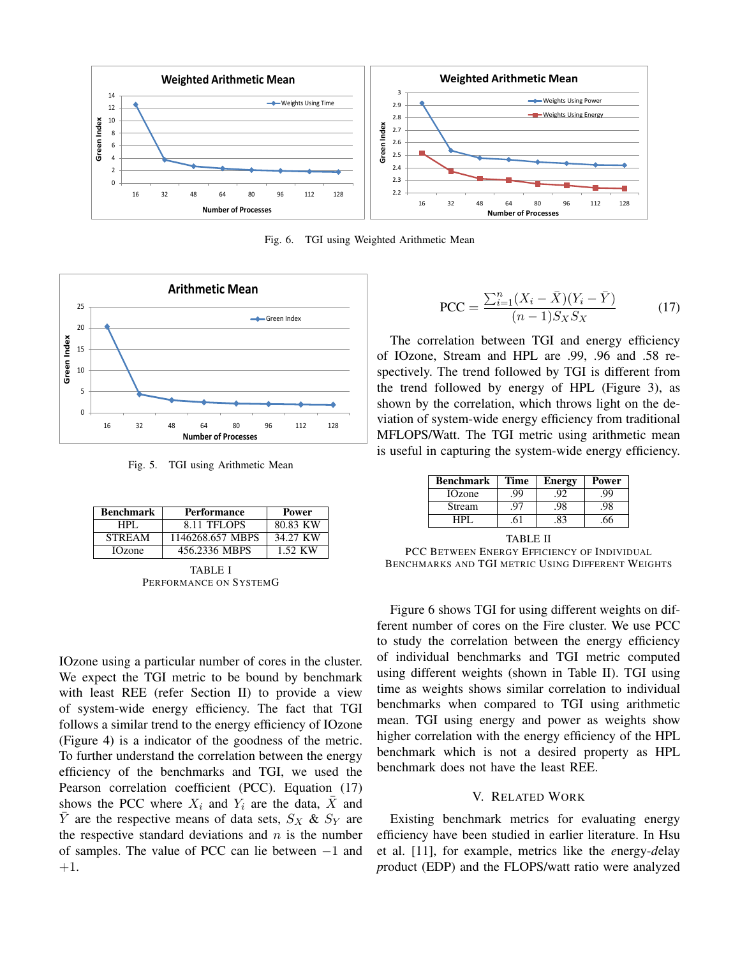

Fig. 6. TGI using Weighted Arithmetic Mean



Fig. 5. TGI using Arithmetic Mean

| <b>Benchmark</b> | Performance      | <b>Power</b> |
|------------------|------------------|--------------|
| HPI.             | 8.11 TFLOPS      | 80.83 KW     |
| <b>STREAM</b>    | 1146268.657 MBPS | 34.27 KW     |
| <b>IOzone</b>    | 456.2336 MBPS    | 1.52 KW      |

TABLE I PERFORMANCE ON SYSTEMG

IOzone using a particular number of cores in the cluster. We expect the TGI metric to be bound by benchmark with least REE (refer Section II) to provide a view of system-wide energy efficiency. The fact that TGI follows a similar trend to the energy efficiency of IOzone (Figure 4) is a indicator of the goodness of the metric. To further understand the correlation between the energy efficiency of the benchmarks and TGI, we used the Pearson correlation coefficient (PCC). Equation (17) shows the PCC where  $X_i$  and  $Y_i$  are the data,  $\overline{X}$  and  $\overline{Y}$  are the respective means of data sets,  $S_X$  &  $S_Y$  are the respective standard deviations and  $n$  is the number of samples. The value of PCC can lie between −1 and +1.

$$
PCC = \frac{\sum_{i=1}^{n} (X_i - \bar{X})(Y_i - \bar{Y})}{(n-1)S_X S_X}
$$
(17)

The correlation between TGI and energy efficiency of IOzone, Stream and HPL are .99, .96 and .58 respectively. The trend followed by TGI is different from the trend followed by energy of HPL (Figure 3), as shown by the correlation, which throws light on the deviation of system-wide energy efficiency from traditional MFLOPS/Watt. The TGI metric using arithmetic mean is useful in capturing the system-wide energy efficiency.

| <b>Benchmark</b> | Time | Energy | Power |
|------------------|------|--------|-------|
| <b>IOzone</b>    | 99   |        | 99    |
| <b>Stream</b>    | u.   |        |       |
| -IPL             |      |        |       |

TABLE II PCC BETWEEN ENERGY EFFICIENCY OF INDIVIDUAL BENCHMARKS AND TGI METRIC USING DIFFERENT WEIGHTS

Figure 6 shows TGI for using different weights on different number of cores on the Fire cluster. We use PCC to study the correlation between the energy efficiency of individual benchmarks and TGI metric computed using different weights (shown in Table II). TGI using time as weights shows similar correlation to individual benchmarks when compared to TGI using arithmetic mean. TGI using energy and power as weights show higher correlation with the energy efficiency of the HPL benchmark which is not a desired property as HPL benchmark does not have the least REE.

# V. RELATED WORK

Existing benchmark metrics for evaluating energy efficiency have been studied in earlier literature. In Hsu et al. [11], for example, metrics like the *e*nergy-*d*elay *p*roduct (EDP) and the FLOPS/watt ratio were analyzed